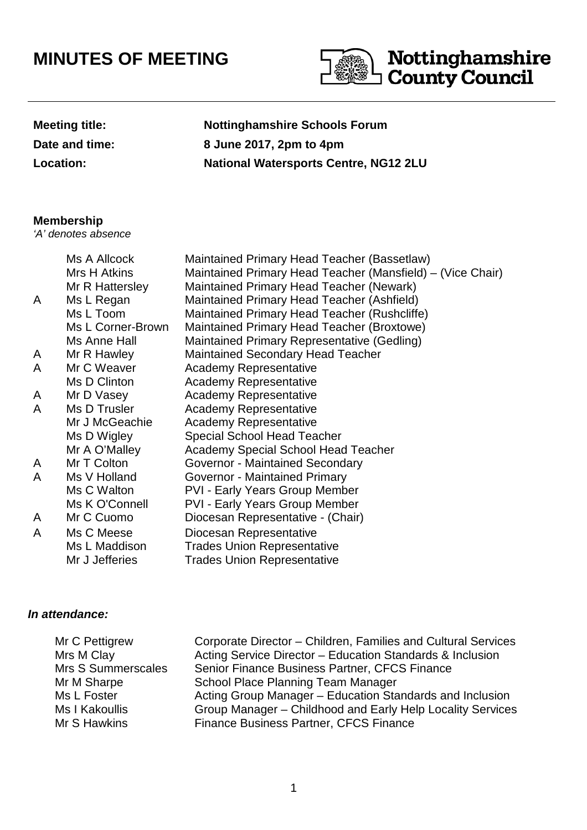# **MINUTES OF MEETING**



| <b>Meeting title:</b> |
|-----------------------|
| Date and time:        |
| <b>Location:</b>      |

**Nottinghamshire Schools Forum Date and time: 8 June 2017, 2pm to 4pm Location: National Watersports Centre, NG12 2LU**

# **Membership**

'A' denotes absence

| Mrs H Atkins<br><b>Maintained Primary Head Teacher (Newark)</b><br>Mr R Hattersley<br>Ms L Regan<br>Maintained Primary Head Teacher (Ashfield)<br>A<br>Ms L Toom<br>Maintained Primary Head Teacher (Rushcliffe)<br>Ms L Corner-Brown<br>Maintained Primary Head Teacher (Broxtowe)<br>Ms Anne Hall<br>Maintained Primary Representative (Gedling)<br><b>Maintained Secondary Head Teacher</b><br>Mr R Hawley<br>A<br>Mr C Weaver<br><b>Academy Representative</b><br>A<br>Ms D Clinton<br><b>Academy Representative</b><br><b>Academy Representative</b><br>Mr D Vasey<br>A<br>Ms D Trusler<br>A<br><b>Academy Representative</b><br>Mr J McGeachie<br><b>Academy Representative</b><br>Ms D Wigley<br><b>Special School Head Teacher</b><br>Mr A O'Malley<br><b>Academy Special School Head Teacher</b><br>Mr T Colton<br>Governor - Maintained Secondary<br>A<br>Ms V Holland<br>Governor - Maintained Primary<br>A<br>Ms C Walton<br><b>PVI - Early Years Group Member</b><br>Ms K O'Connell<br><b>PVI - Early Years Group Member</b><br>Mr C Cuomo<br>Diocesan Representative - (Chair)<br>A<br>Ms C Meese<br>Diocesan Representative<br>A<br><b>Trades Union Representative</b><br>Ms L Maddison | Ms A Allcock   | Maintained Primary Head Teacher (Bassetlaw)                |
|--------------------------------------------------------------------------------------------------------------------------------------------------------------------------------------------------------------------------------------------------------------------------------------------------------------------------------------------------------------------------------------------------------------------------------------------------------------------------------------------------------------------------------------------------------------------------------------------------------------------------------------------------------------------------------------------------------------------------------------------------------------------------------------------------------------------------------------------------------------------------------------------------------------------------------------------------------------------------------------------------------------------------------------------------------------------------------------------------------------------------------------------------------------------------------------------------------|----------------|------------------------------------------------------------|
|                                                                                                                                                                                                                                                                                                                                                                                                                                                                                                                                                                                                                                                                                                                                                                                                                                                                                                                                                                                                                                                                                                                                                                                                        |                | Maintained Primary Head Teacher (Mansfield) – (Vice Chair) |
|                                                                                                                                                                                                                                                                                                                                                                                                                                                                                                                                                                                                                                                                                                                                                                                                                                                                                                                                                                                                                                                                                                                                                                                                        |                |                                                            |
|                                                                                                                                                                                                                                                                                                                                                                                                                                                                                                                                                                                                                                                                                                                                                                                                                                                                                                                                                                                                                                                                                                                                                                                                        |                |                                                            |
|                                                                                                                                                                                                                                                                                                                                                                                                                                                                                                                                                                                                                                                                                                                                                                                                                                                                                                                                                                                                                                                                                                                                                                                                        |                |                                                            |
|                                                                                                                                                                                                                                                                                                                                                                                                                                                                                                                                                                                                                                                                                                                                                                                                                                                                                                                                                                                                                                                                                                                                                                                                        |                |                                                            |
|                                                                                                                                                                                                                                                                                                                                                                                                                                                                                                                                                                                                                                                                                                                                                                                                                                                                                                                                                                                                                                                                                                                                                                                                        |                |                                                            |
|                                                                                                                                                                                                                                                                                                                                                                                                                                                                                                                                                                                                                                                                                                                                                                                                                                                                                                                                                                                                                                                                                                                                                                                                        |                |                                                            |
|                                                                                                                                                                                                                                                                                                                                                                                                                                                                                                                                                                                                                                                                                                                                                                                                                                                                                                                                                                                                                                                                                                                                                                                                        |                |                                                            |
|                                                                                                                                                                                                                                                                                                                                                                                                                                                                                                                                                                                                                                                                                                                                                                                                                                                                                                                                                                                                                                                                                                                                                                                                        |                |                                                            |
|                                                                                                                                                                                                                                                                                                                                                                                                                                                                                                                                                                                                                                                                                                                                                                                                                                                                                                                                                                                                                                                                                                                                                                                                        |                |                                                            |
|                                                                                                                                                                                                                                                                                                                                                                                                                                                                                                                                                                                                                                                                                                                                                                                                                                                                                                                                                                                                                                                                                                                                                                                                        |                |                                                            |
|                                                                                                                                                                                                                                                                                                                                                                                                                                                                                                                                                                                                                                                                                                                                                                                                                                                                                                                                                                                                                                                                                                                                                                                                        |                |                                                            |
|                                                                                                                                                                                                                                                                                                                                                                                                                                                                                                                                                                                                                                                                                                                                                                                                                                                                                                                                                                                                                                                                                                                                                                                                        |                |                                                            |
|                                                                                                                                                                                                                                                                                                                                                                                                                                                                                                                                                                                                                                                                                                                                                                                                                                                                                                                                                                                                                                                                                                                                                                                                        |                |                                                            |
|                                                                                                                                                                                                                                                                                                                                                                                                                                                                                                                                                                                                                                                                                                                                                                                                                                                                                                                                                                                                                                                                                                                                                                                                        |                |                                                            |
|                                                                                                                                                                                                                                                                                                                                                                                                                                                                                                                                                                                                                                                                                                                                                                                                                                                                                                                                                                                                                                                                                                                                                                                                        |                |                                                            |
|                                                                                                                                                                                                                                                                                                                                                                                                                                                                                                                                                                                                                                                                                                                                                                                                                                                                                                                                                                                                                                                                                                                                                                                                        |                |                                                            |
|                                                                                                                                                                                                                                                                                                                                                                                                                                                                                                                                                                                                                                                                                                                                                                                                                                                                                                                                                                                                                                                                                                                                                                                                        |                |                                                            |
|                                                                                                                                                                                                                                                                                                                                                                                                                                                                                                                                                                                                                                                                                                                                                                                                                                                                                                                                                                                                                                                                                                                                                                                                        |                |                                                            |
|                                                                                                                                                                                                                                                                                                                                                                                                                                                                                                                                                                                                                                                                                                                                                                                                                                                                                                                                                                                                                                                                                                                                                                                                        |                |                                                            |
|                                                                                                                                                                                                                                                                                                                                                                                                                                                                                                                                                                                                                                                                                                                                                                                                                                                                                                                                                                                                                                                                                                                                                                                                        |                |                                                            |
|                                                                                                                                                                                                                                                                                                                                                                                                                                                                                                                                                                                                                                                                                                                                                                                                                                                                                                                                                                                                                                                                                                                                                                                                        | Mr J Jefferies | <b>Trades Union Representative</b>                         |

# **In attendance:**

| Mr C Pettigrew<br>Mrs M Clay | Corporate Director - Children, Families and Cultural Services<br>Acting Service Director - Education Standards & Inclusion |
|------------------------------|----------------------------------------------------------------------------------------------------------------------------|
| Mrs S Summerscales           | Senior Finance Business Partner, CFCS Finance                                                                              |
| Mr M Sharpe                  | School Place Planning Team Manager                                                                                         |
|                              |                                                                                                                            |
| Ms L Foster                  | Acting Group Manager – Education Standards and Inclusion                                                                   |
| Ms I Kakoullis               | Group Manager - Childhood and Early Help Locality Services                                                                 |
| Mr S Hawkins                 | <b>Finance Business Partner, CFCS Finance</b>                                                                              |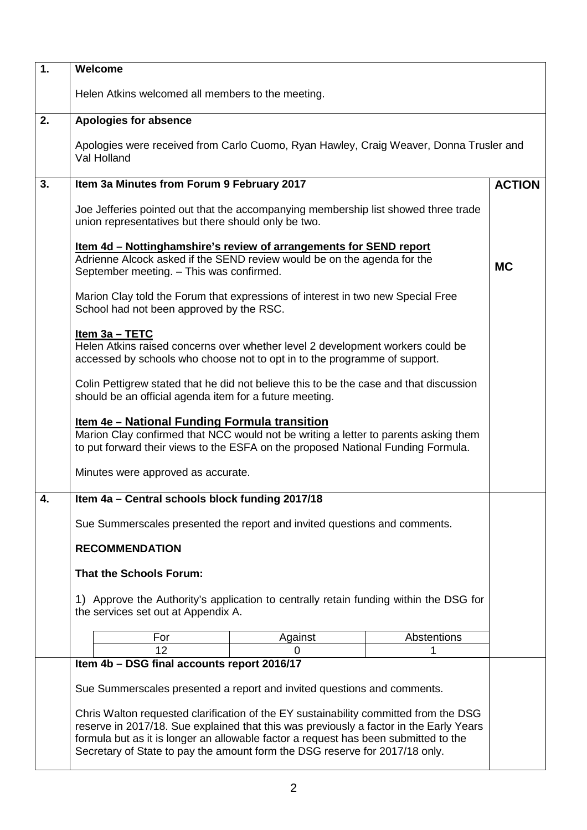| 1. | Welcome                                                                                                                                                                                                                                                               |               |  |
|----|-----------------------------------------------------------------------------------------------------------------------------------------------------------------------------------------------------------------------------------------------------------------------|---------------|--|
|    | Helen Atkins welcomed all members to the meeting.                                                                                                                                                                                                                     |               |  |
| 2. | <b>Apologies for absence</b>                                                                                                                                                                                                                                          |               |  |
|    | Apologies were received from Carlo Cuomo, Ryan Hawley, Craig Weaver, Donna Trusler and<br>Val Holland                                                                                                                                                                 |               |  |
| 3. | Item 3a Minutes from Forum 9 February 2017                                                                                                                                                                                                                            | <b>ACTION</b> |  |
|    | Joe Jefferies pointed out that the accompanying membership list showed three trade<br>union representatives but there should only be two.                                                                                                                             |               |  |
|    | <u>Item 4d – Nottinghamshire's review of arrangements for SEND report</u><br>Adrienne Alcock asked if the SEND review would be on the agenda for the<br>September meeting. - This was confirmed.                                                                      | <b>MC</b>     |  |
|    | Marion Clay told the Forum that expressions of interest in two new Special Free<br>School had not been approved by the RSC.                                                                                                                                           |               |  |
|    | $Item 3a - TETC$<br>Helen Atkins raised concerns over whether level 2 development workers could be<br>accessed by schools who choose not to opt in to the programme of support.                                                                                       |               |  |
|    | Colin Pettigrew stated that he did not believe this to be the case and that discussion<br>should be an official agenda item for a future meeting.                                                                                                                     |               |  |
|    | <u>Item 4e - National Funding Formula transition</u><br>Marion Clay confirmed that NCC would not be writing a letter to parents asking them<br>to put forward their views to the ESFA on the proposed National Funding Formula.                                       |               |  |
|    | Minutes were approved as accurate.                                                                                                                                                                                                                                    |               |  |
| 4. | Item 4a - Central schools block funding 2017/18                                                                                                                                                                                                                       |               |  |
|    | Sue Summerscales presented the report and invited questions and comments.                                                                                                                                                                                             |               |  |
|    | <b>RECOMMENDATION</b>                                                                                                                                                                                                                                                 |               |  |
|    | <b>That the Schools Forum:</b>                                                                                                                                                                                                                                        |               |  |
|    |                                                                                                                                                                                                                                                                       |               |  |
|    | 1) Approve the Authority's application to centrally retain funding within the DSG for<br>the services set out at Appendix A.                                                                                                                                          |               |  |
|    | Abstentions<br>For<br>Against                                                                                                                                                                                                                                         |               |  |
|    | 12<br>1<br>0<br>Item 4b - DSG final accounts report 2016/17                                                                                                                                                                                                           |               |  |
|    |                                                                                                                                                                                                                                                                       |               |  |
|    | Sue Summerscales presented a report and invited questions and comments.                                                                                                                                                                                               |               |  |
|    | Chris Walton requested clarification of the EY sustainability committed from the DSG<br>reserve in 2017/18. Sue explained that this was previously a factor in the Early Years<br>formula but as it is longer an allowable factor a request has been submitted to the |               |  |
|    | Secretary of State to pay the amount form the DSG reserve for 2017/18 only.                                                                                                                                                                                           |               |  |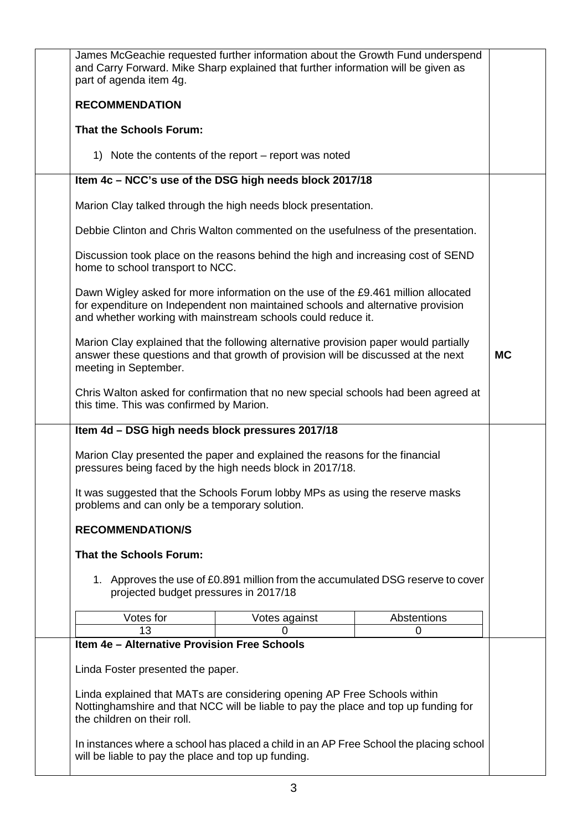| James McGeachie requested further information about the Growth Fund underspend<br>and Carry Forward. Mike Sharp explained that further information will be given as<br>part of agenda item 4g.                                       |                                                       |             |           |
|--------------------------------------------------------------------------------------------------------------------------------------------------------------------------------------------------------------------------------------|-------------------------------------------------------|-------------|-----------|
| <b>RECOMMENDATION</b>                                                                                                                                                                                                                |                                                       |             |           |
| <b>That the Schools Forum:</b>                                                                                                                                                                                                       |                                                       |             |           |
|                                                                                                                                                                                                                                      | 1) Note the contents of the report – report was noted |             |           |
| Item 4c - NCC's use of the DSG high needs block 2017/18                                                                                                                                                                              |                                                       |             |           |
| Marion Clay talked through the high needs block presentation.                                                                                                                                                                        |                                                       |             |           |
| Debbie Clinton and Chris Walton commented on the usefulness of the presentation.                                                                                                                                                     |                                                       |             |           |
| Discussion took place on the reasons behind the high and increasing cost of SEND<br>home to school transport to NCC.                                                                                                                 |                                                       |             |           |
| Dawn Wigley asked for more information on the use of the £9.461 million allocated<br>for expenditure on Independent non maintained schools and alternative provision<br>and whether working with mainstream schools could reduce it. |                                                       |             |           |
| Marion Clay explained that the following alternative provision paper would partially<br>answer these questions and that growth of provision will be discussed at the next<br>meeting in September.                                   |                                                       |             | <b>MC</b> |
| Chris Walton asked for confirmation that no new special schools had been agreed at<br>this time. This was confirmed by Marion.                                                                                                       |                                                       |             |           |
| Item 4d - DSG high needs block pressures 2017/18                                                                                                                                                                                     |                                                       |             |           |
| Marion Clay presented the paper and explained the reasons for the financial<br>pressures being faced by the high needs block in 2017/18.                                                                                             |                                                       |             |           |
| It was suggested that the Schools Forum lobby MPs as using the reserve masks<br>problems and can only be a temporary solution.                                                                                                       |                                                       |             |           |
| <b>RECOMMENDATION/S</b>                                                                                                                                                                                                              |                                                       |             |           |
| <b>That the Schools Forum:</b>                                                                                                                                                                                                       |                                                       |             |           |
| 1. Approves the use of £0.891 million from the accumulated DSG reserve to cover<br>projected budget pressures in 2017/18                                                                                                             |                                                       |             |           |
| Votes for                                                                                                                                                                                                                            | Votes against                                         | Abstentions |           |
| 13<br>Item 4e - Alternative Provision Free Schools                                                                                                                                                                                   | O                                                     | 0           |           |
|                                                                                                                                                                                                                                      |                                                       |             |           |
| Linda Foster presented the paper.                                                                                                                                                                                                    |                                                       |             |           |
| Linda explained that MATs are considering opening AP Free Schools within<br>Nottinghamshire and that NCC will be liable to pay the place and top up funding for<br>the children on their roll.                                       |                                                       |             |           |
| In instances where a school has placed a child in an AP Free School the placing school<br>will be liable to pay the place and top up funding.                                                                                        |                                                       |             |           |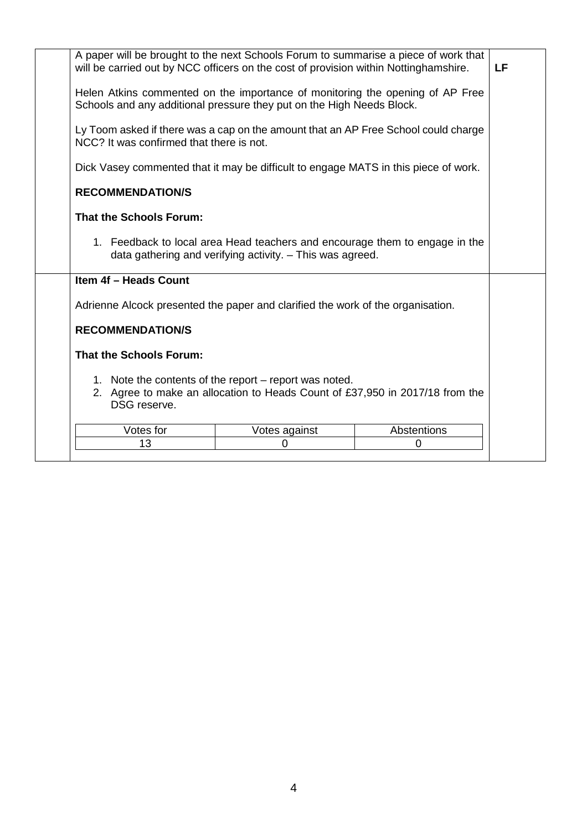| A paper will be brought to the next Schools Forum to summarise a piece of work that<br>will be carried out by NCC officers on the cost of provision within Nottinghamshire. |               |             | LF |
|-----------------------------------------------------------------------------------------------------------------------------------------------------------------------------|---------------|-------------|----|
| Helen Atkins commented on the importance of monitoring the opening of AP Free<br>Schools and any additional pressure they put on the High Needs Block.                      |               |             |    |
| Ly Toom asked if there was a cap on the amount that an AP Free School could charge<br>NCC? It was confirmed that there is not.                                              |               |             |    |
| Dick Vasey commented that it may be difficult to engage MATS in this piece of work.                                                                                         |               |             |    |
| <b>RECOMMENDATION/S</b>                                                                                                                                                     |               |             |    |
| <b>That the Schools Forum:</b>                                                                                                                                              |               |             |    |
| 1. Feedback to local area Head teachers and encourage them to engage in the<br>data gathering and verifying activity. - This was agreed.                                    |               |             |    |
| <b>Item 4f - Heads Count</b>                                                                                                                                                |               |             |    |
| Adrienne Alcock presented the paper and clarified the work of the organisation.                                                                                             |               |             |    |
| <b>RECOMMENDATION/S</b>                                                                                                                                                     |               |             |    |
| <b>That the Schools Forum:</b>                                                                                                                                              |               |             |    |
| 1. Note the contents of the report – report was noted.<br>2. Agree to make an allocation to Heads Count of £37,950 in 2017/18 from the<br>DSG reserve.                      |               |             |    |
| Votes for                                                                                                                                                                   | Votes against | Abstentions |    |
| 13                                                                                                                                                                          | 0             | 0           |    |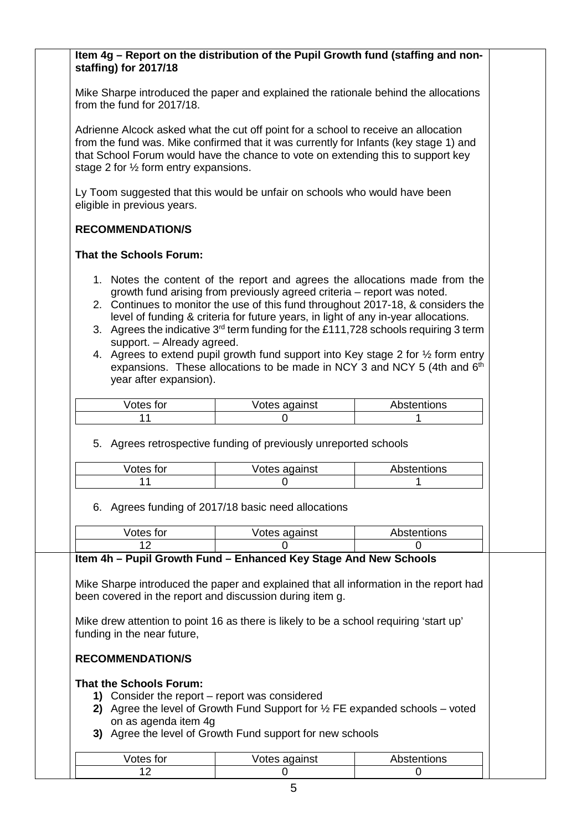## **Item 4g – Report on the distribution of the Pupil Growth fund (staffing and nonstaffing) for 2017/18**

Mike Sharpe introduced the paper and explained the rationale behind the allocations from the fund for 2017/18.

Adrienne Alcock asked what the cut off point for a school to receive an allocation from the fund was. Mike confirmed that it was currently for Infants (key stage 1) and that School Forum would have the chance to vote on extending this to support key stage 2 for ½ form entry expansions.

Ly Toom suggested that this would be unfair on schools who would have been eligible in previous years.

## **RECOMMENDATION/S**

### **That the Schools Forum:**

- 1. Notes the content of the report and agrees the allocations made from the growth fund arising from previously agreed criteria – report was noted.
- 2. Continues to monitor the use of this fund throughout 2017-18, & considers the level of funding & criteria for future years, in light of any in-year allocations.
- 3. Agrees the indicative  $3<sup>rd</sup>$  term funding for the £111,728 schools requiring 3 term support. – Already agreed.
- 4. Agrees to extend pupil growth fund support into Key stage 2 for ½ form entry expansions. These allocations to be made in NCY 3 and NCY 5 (4th and  $6<sup>th</sup>$ ) year after expansion).

| √otes for | Votes against | Abstentions |
|-----------|---------------|-------------|
|           |               |             |

### 5. Agrees retrospective funding of previously unreported schools

| √otes for | Votes against | Abstentions |
|-----------|---------------|-------------|
|           |               |             |

### 6. Agrees funding of 2017/18 basic need allocations

| Votes for                                      | Votes against                                                                                                                                     | Abstentions |
|------------------------------------------------|---------------------------------------------------------------------------------------------------------------------------------------------------|-------------|
| 12                                             |                                                                                                                                                   |             |
|                                                | Item 4h - Pupil Growth Fund - Enhanced Key Stage And New Schools                                                                                  |             |
|                                                | Mike Sharpe introduced the paper and explained that all information in the report had<br>been covered in the report and discussion during item g. |             |
| funding in the near future,                    | Mike drew attention to point 16 as there is likely to be a school requiring 'start up'                                                            |             |
| <b>RECOMMENDATION/S</b>                        |                                                                                                                                                   |             |
| That the Schools Forum:                        |                                                                                                                                                   |             |
| 1) Consider the report – report was considered |                                                                                                                                                   |             |
| on as agenda item 4g                           | 2) Agree the level of Growth Fund Support for $\frac{1}{2}$ FE expanded schools – voted                                                           |             |
|                                                | 3) Agree the level of Growth Fund support for new schools                                                                                         |             |
| <i>Notos</i> for                               | <i><u>Motos against</u></i>                                                                                                                       | Abetantione |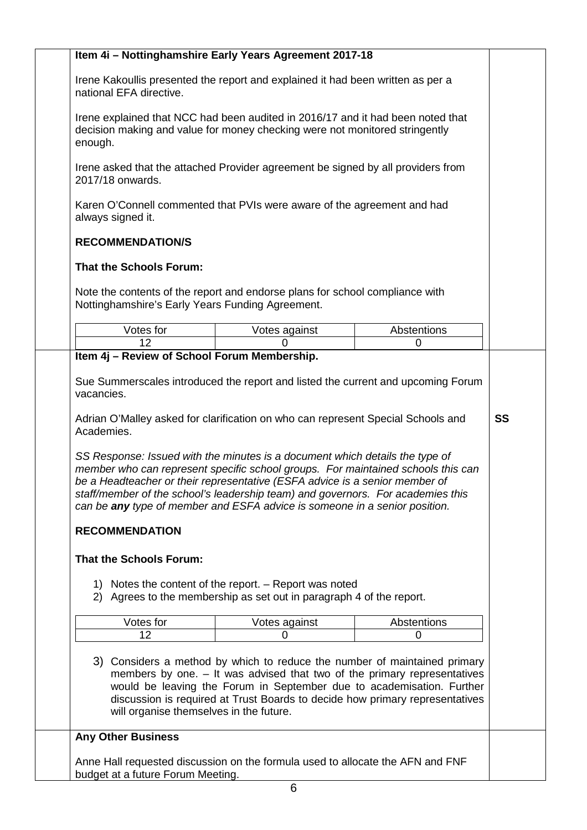|                                                                                                                                                                                                                                                                                                                                                                                                                                                                                                                                                                                                                                 | Item 4i - Nottinghamshire Early Years Agreement 2017-18                                                                                                                                                                                                                                                        |             |
|---------------------------------------------------------------------------------------------------------------------------------------------------------------------------------------------------------------------------------------------------------------------------------------------------------------------------------------------------------------------------------------------------------------------------------------------------------------------------------------------------------------------------------------------------------------------------------------------------------------------------------|----------------------------------------------------------------------------------------------------------------------------------------------------------------------------------------------------------------------------------------------------------------------------------------------------------------|-------------|
| Irene Kakoullis presented the report and explained it had been written as per a<br>national EFA directive.                                                                                                                                                                                                                                                                                                                                                                                                                                                                                                                      |                                                                                                                                                                                                                                                                                                                |             |
| Irene explained that NCC had been audited in 2016/17 and it had been noted that<br>decision making and value for money checking were not monitored stringently<br>enough.                                                                                                                                                                                                                                                                                                                                                                                                                                                       |                                                                                                                                                                                                                                                                                                                |             |
| Irene asked that the attached Provider agreement be signed by all providers from<br>2017/18 onwards.                                                                                                                                                                                                                                                                                                                                                                                                                                                                                                                            |                                                                                                                                                                                                                                                                                                                |             |
| Karen O'Connell commented that PVIs were aware of the agreement and had<br>always signed it.                                                                                                                                                                                                                                                                                                                                                                                                                                                                                                                                    |                                                                                                                                                                                                                                                                                                                |             |
| <b>RECOMMENDATION/S</b>                                                                                                                                                                                                                                                                                                                                                                                                                                                                                                                                                                                                         |                                                                                                                                                                                                                                                                                                                |             |
| <b>That the Schools Forum:</b>                                                                                                                                                                                                                                                                                                                                                                                                                                                                                                                                                                                                  |                                                                                                                                                                                                                                                                                                                |             |
| Note the contents of the report and endorse plans for school compliance with<br>Nottinghamshire's Early Years Funding Agreement.                                                                                                                                                                                                                                                                                                                                                                                                                                                                                                |                                                                                                                                                                                                                                                                                                                |             |
| Votes for                                                                                                                                                                                                                                                                                                                                                                                                                                                                                                                                                                                                                       | Votes against                                                                                                                                                                                                                                                                                                  | Abstentions |
| 12                                                                                                                                                                                                                                                                                                                                                                                                                                                                                                                                                                                                                              | 0                                                                                                                                                                                                                                                                                                              | 0           |
|                                                                                                                                                                                                                                                                                                                                                                                                                                                                                                                                                                                                                                 |                                                                                                                                                                                                                                                                                                                |             |
|                                                                                                                                                                                                                                                                                                                                                                                                                                                                                                                                                                                                                                 | 1) Notes the content of the report. - Report was noted<br>2) Agrees to the membership as set out in paragraph 4 of the report.                                                                                                                                                                                 |             |
| Votes for                                                                                                                                                                                                                                                                                                                                                                                                                                                                                                                                                                                                                       | Votes against                                                                                                                                                                                                                                                                                                  | Abstentions |
| 12                                                                                                                                                                                                                                                                                                                                                                                                                                                                                                                                                                                                                              | 0                                                                                                                                                                                                                                                                                                              | 0           |
| will organise themselves in the future.                                                                                                                                                                                                                                                                                                                                                                                                                                                                                                                                                                                         | 3) Considers a method by which to reduce the number of maintained primary<br>members by one. - It was advised that two of the primary representatives<br>would be leaving the Forum in September due to academisation. Further<br>discussion is required at Trust Boards to decide how primary representatives |             |
|                                                                                                                                                                                                                                                                                                                                                                                                                                                                                                                                                                                                                                 |                                                                                                                                                                                                                                                                                                                |             |
| SS Response: Issued with the minutes is a document which details the type of<br>member who can represent specific school groups. For maintained schools this can<br>be a Headteacher or their representative (ESFA advice is a senior member of<br>staff/member of the school's leadership team) and governors. For academies this<br>can be any type of member and ESFA advice is someone in a senior position.<br><b>RECOMMENDATION</b><br><b>That the Schools Forum:</b><br><b>Any Other Business</b><br>Anne Hall requested discussion on the formula used to allocate the AFN and FNF<br>budget at a future Forum Meeting. |                                                                                                                                                                                                                                                                                                                |             |